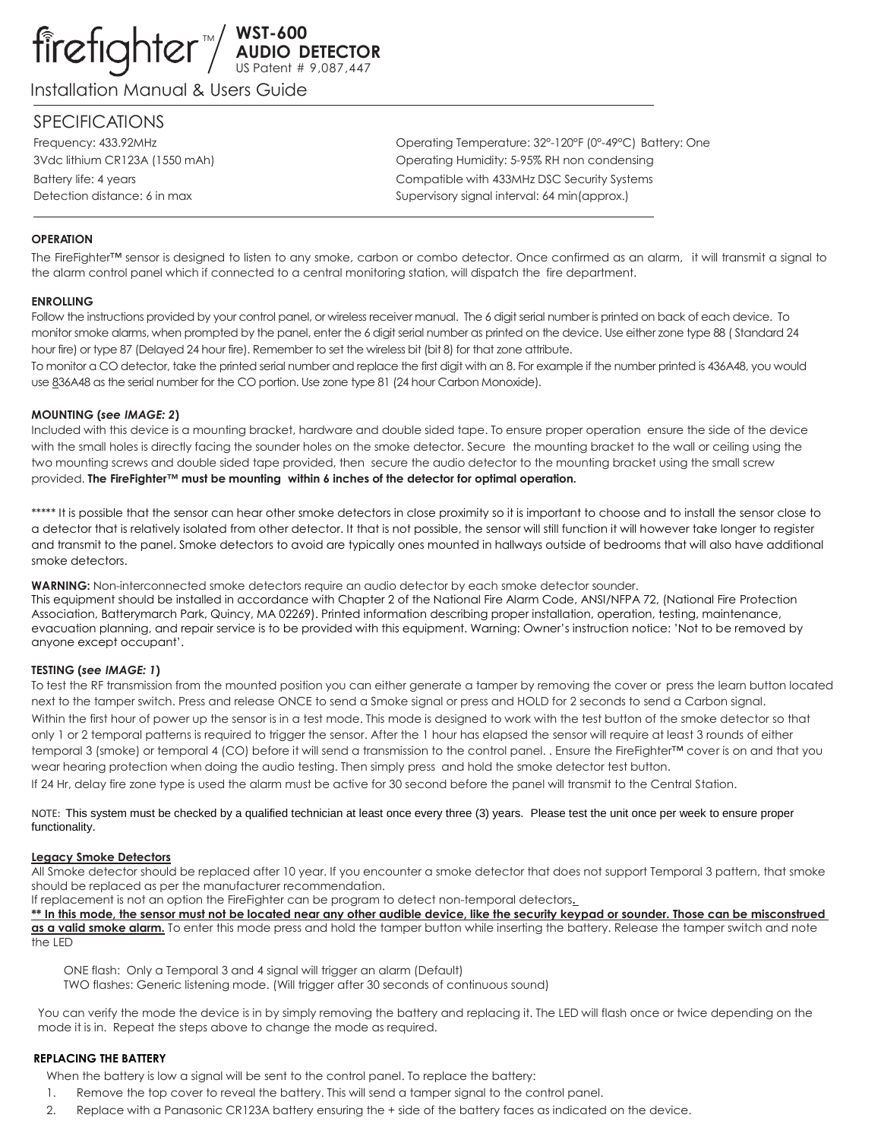# TM **WST-600 AUDIO DETECTOR** US Patent # 9,087,447

Installation Manual & Users Guide

# SPECIFICATIONS

Frequency: 433.92MHz Operating Temperature: 32°-120°F (0°-49°C) Battery: One 3Vdc lithium CR123A (1550 mAh) Operating Humidity: 5-95% RH non condensing Battery life: 4 years Compatible with 433MHz DSC Security Systems Detection distance: 6 in max  $Supervisory$  signal interval: 64 min(approx.)

# **OPERATION**

The FireFighter™ sensor is designed to listen to any smoke, carbon or combo detector. Once confirmed as an alarm, it will transmit a signal to the alarm control panel which if connected to a central monitoring station, will dispatch the fire department.

## **ENROLLING**

Follow the instructions provided by your control panel, or wireless receiver manual. The 6 digit serial number is printed on back of each device. To monitor smoke alarms, when prompted by the panel, enter the 6 digit serial number as printed on the device. Use either zone type 88 ( Standard 24 hour fire) or type 87 (Delayed 24 hour fire). Remember to set the wireless bit (bit 8) for that zone attribute.

To monitor a CO detector, take the printed serial number and replace the first digit with an 8. For example if the number printed is 436A48, you would use 836A48 as the serial number for the CO portion. Use zone type 81 (24 hour Carbon Monoxide).

## **MOUNTING (***see IMAGE: 2***)**

Included with this device is a mounting bracket, hardware and double sided tape. To ensure proper operation ensure the side of the device with the small holes is directly facing the sounder holes on the smoke detector. Secure the mounting bracket to the wall or ceiling using the two mounting screws and double sided tape provided, then secure the audio detector to the mounting bracket using the small screw provided. **The FireFighter™ must be mounting within 6 inches of the detector for optimal operation.**

\*\*\*\*\* It is possible that the sensor can hear other smoke detectors in close proximity so it is important to choose and to install the sensor close to a detector that is relatively isolated from other detector. It that is not possible, the sensor will still function it will however take longer to register and transmit to the panel. Smoke detectors to avoid are typically ones mounted in hallways outside of bedrooms that will also have additional smoke detectors.

**WARNING:** Non-interconnected smoke detectors require an audio detector by each smoke detector sounder.

This equipment should be installed in accordance with Chapter 2 of the National Fire Alarm Code, ANSI/NFPA 72, (National Fire Protection Association, Batterymarch Park, Quincy, MA 02269). Printed information describing proper installation, operation, testing, maintenance, evacuation planning, and repair service is to be provided with this equipment. Warning: Owner's instruction notice: 'Not to be removed by anyone except occupant'.

## **TESTING (***see IMAGE: 1***)**

To test the RF transmission from the mounted position you can either generate a tamper by removing the cover or press the learn button located next to the tamper switch. Press and release ONCE to send a Smoke signal or press and HOLD for 2 seconds to send a Carbon signal. Within the first hour of power up the sensor is in a test mode. This mode is designed to work with the test button of the smoke detector so that only 1 or 2 temporal patterns is required to trigger the sensor. After the 1 hour has elapsed the sensor will require at least 3 rounds of either temporal 3 (smoke) or temporal 4 (CO) before it will send a transmission to the control panel. . Ensure the FireFighter™ cover is on and that you wear hearing protection when doing the audio testing. Then simply press and hold the smoke detector test button.

If 24 Hr, delay fire zone type is used the alarm must be active for 30 second before the panel will transmit to the Central Station.

NOTE: This system must be checked by a qualified technician at least once every three (3) years. Please test the unit once per week to ensure proper functionality.

## **Legacy Smoke Detectors**

All Smoke detector should be replaced after 10 year. If you encounter a smoke detector that does not support Temporal 3 pattern, that smoke should be replaced as per the manufacturer recommendation.

If replacement is not an option the FireFighter can be program to detect non-temporal detectors**.** 

**\*\* In this mode, the sensor must not be located near any other audible device, like the security keypad or sounder. Those can be misconstrued as a valid smoke alarm.** To enter this mode press and hold the tamper button while inserting the battery. Release the tamper switch and note the LED

ONE flash: Only a Temporal 3 and 4 signal will trigger an alarm (Default)

TWO flashes: Generic listening mode. (Will trigger after 30 seconds of continuous sound)

You can verify the mode the device is in by simply removing the battery and replacing it. The LED will flash once or twice depending on the mode it is in. Repeat the steps above to change the mode as required.

# **REPLACING THE BATTERY**

When the battery is low a signal will be sent to the control panel. To replace the battery:

- 1. Remove the top cover to reveal the battery. This will send a tamper signal to the control panel.
- 2. Replace with a Panasonic CR123A battery ensuring the + side of the battery faces as indicated on the device.